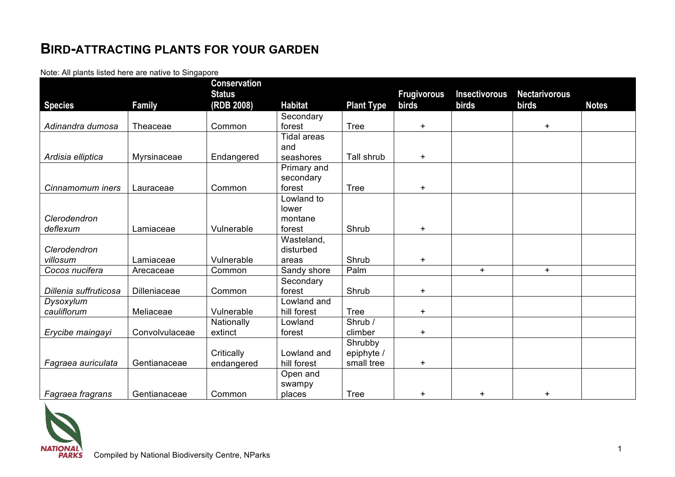## **BIRD-ATTRACTING PLANTS FOR YOUR GARDEN**

Note: All plants listed here are native to Singapore

|                       |                | <b>Conservation</b>         |                    |                   |                             |                               |                               |              |
|-----------------------|----------------|-----------------------------|--------------------|-------------------|-----------------------------|-------------------------------|-------------------------------|--------------|
| <b>Species</b>        | <b>Family</b>  | <b>Status</b><br>(RDB 2008) | <b>Habitat</b>     | <b>Plant Type</b> | <b>Frugivorous</b><br>birds | <b>Insectivorous</b><br>birds | <b>Nectarivorous</b><br>birds | <b>Notes</b> |
|                       |                |                             | Secondary          |                   |                             |                               |                               |              |
| Adinandra dumosa      | Theaceae       | Common                      | forest             | <b>Tree</b>       | $+$                         |                               | $+$                           |              |
|                       |                |                             | <b>Tidal areas</b> |                   |                             |                               |                               |              |
|                       |                |                             | and                |                   |                             |                               |                               |              |
| Ardisia elliptica     | Myrsinaceae    | Endangered                  | seashores          | Tall shrub        | $\pm$                       |                               |                               |              |
|                       |                |                             | Primary and        |                   |                             |                               |                               |              |
|                       |                |                             | secondary          |                   |                             |                               |                               |              |
| Cinnamomum iners      | Lauraceae      | Common                      | forest             | <b>Tree</b>       | $+$                         |                               |                               |              |
|                       |                |                             | Lowland to         |                   |                             |                               |                               |              |
|                       |                |                             | lower              |                   |                             |                               |                               |              |
| Clerodendron          |                |                             | montane            |                   |                             |                               |                               |              |
| deflexum              | Lamiaceae      | Vulnerable                  | forest             | Shrub             | $\pm$                       |                               |                               |              |
|                       |                |                             | Wasteland,         |                   |                             |                               |                               |              |
| Clerodendron          |                |                             | disturbed          |                   |                             |                               |                               |              |
| villosum              | Lamiaceae      | Vulnerable                  | areas              | Shrub             | $\pm$                       |                               |                               |              |
| Cocos nucifera        | Arecaceae      | Common                      | Sandy shore        | Palm              |                             | $+$                           | $+$                           |              |
|                       |                |                             | Secondary          |                   |                             |                               |                               |              |
| Dillenia suffruticosa | Dilleniaceae   | Common                      | forest             | Shrub             | $\pm$                       |                               |                               |              |
| Dysoxylum             |                |                             | Lowland and        |                   |                             |                               |                               |              |
| cauliflorum           | Meliaceae      | Vulnerable                  | hill forest        | <b>Tree</b>       | $+$                         |                               |                               |              |
|                       |                | Nationally                  | Lowland            | Shrub /           |                             |                               |                               |              |
| Erycibe maingayi      | Convolvulaceae | extinct                     | forest             | climber           | $\pm$                       |                               |                               |              |
|                       |                |                             |                    | Shrubby           |                             |                               |                               |              |
|                       |                | Critically                  | Lowland and        | epiphyte /        |                             |                               |                               |              |
| Fagraea auriculata    | Gentianaceae   | endangered                  | hill forest        | small tree        | $\pm$                       |                               |                               |              |
|                       |                |                             | Open and           |                   |                             |                               |                               |              |
| Fagraea fragrans      | Gentianaceae   | Common                      | swampy<br>places   | <b>Tree</b>       | $\pm$                       | $+$                           | $\pm$                         |              |

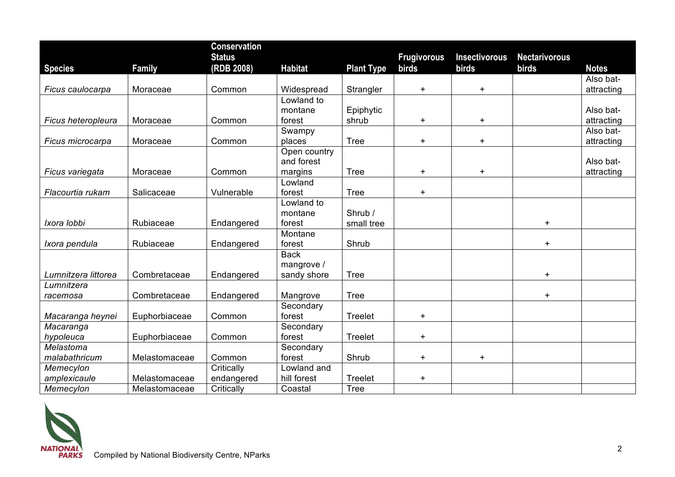|                     |               | <b>Conservation</b> |                |                   |                    |                      |                      |              |
|---------------------|---------------|---------------------|----------------|-------------------|--------------------|----------------------|----------------------|--------------|
|                     |               | <b>Status</b>       |                |                   | <b>Frugivorous</b> | <b>Insectivorous</b> | <b>Nectarivorous</b> |              |
| <b>Species</b>      | <b>Family</b> | (RDB 2008)          | <b>Habitat</b> | <b>Plant Type</b> | <b>birds</b>       | birds                | birds                | <b>Notes</b> |
|                     |               |                     |                |                   |                    |                      |                      | Also bat-    |
| Ficus caulocarpa    | Moraceae      | Common              | Widespread     | Strangler         | $+$                | $+$                  |                      | attracting   |
|                     |               |                     | Lowland to     |                   |                    |                      |                      |              |
|                     |               |                     | montane        | Epiphytic         |                    |                      |                      | Also bat-    |
| Ficus heteropleura  | Moraceae      | Common              | forest         | shrub             | $\pm$              | $+$                  |                      | attracting   |
|                     |               |                     | Swampy         |                   |                    |                      |                      | Also bat-    |
| Ficus microcarpa    | Moraceae      | Common              | places         | <b>Tree</b>       | $+$                | $+$                  |                      | attracting   |
|                     |               |                     | Open country   |                   |                    |                      |                      |              |
|                     |               |                     | and forest     |                   |                    |                      |                      | Also bat-    |
| Ficus variegata     | Moraceae      | Common              | margins        | <b>Tree</b>       | $\pm$              | $\ddagger$           |                      | attracting   |
|                     |               |                     | Lowland        |                   |                    |                      |                      |              |
| Flacourtia rukam    | Salicaceae    | Vulnerable          | forest         | <b>Tree</b>       | $+$                |                      |                      |              |
|                     |               |                     | Lowland to     |                   |                    |                      |                      |              |
|                     |               |                     | montane        | Shrub /           |                    |                      |                      |              |
| Ixora lobbi         | Rubiaceae     | Endangered          | forest         | small tree        |                    |                      | $+$                  |              |
|                     |               |                     | Montane        |                   |                    |                      |                      |              |
| Ixora pendula       | Rubiaceae     | Endangered          | forest         | Shrub             |                    |                      | $\ddot{}$            |              |
|                     |               |                     | <b>Back</b>    |                   |                    |                      |                      |              |
|                     |               |                     | mangrove /     |                   |                    |                      |                      |              |
| Lumnitzera littorea | Combretaceae  | Endangered          | sandy shore    | <b>Tree</b>       |                    |                      | $+$                  |              |
| Lumnitzera          |               |                     |                |                   |                    |                      |                      |              |
| racemosa            | Combretaceae  | Endangered          | Mangrove       | <b>Tree</b>       |                    |                      | $+$                  |              |
|                     |               |                     | Secondary      |                   |                    |                      |                      |              |
| Macaranga heynei    | Euphorbiaceae | Common              | forest         | Treelet           | $+$                |                      |                      |              |
| Macaranga           |               |                     | Secondary      |                   |                    |                      |                      |              |
| hypoleuca           | Euphorbiaceae | Common              | forest         | Treelet           | $+$                |                      |                      |              |
| Melastoma           |               |                     | Secondary      |                   |                    |                      |                      |              |
| malabathricum       | Melastomaceae | Common              | forest         | Shrub             | $+$                | $+$                  |                      |              |
| Memecylon           |               | Critically          | Lowland and    |                   |                    |                      |                      |              |
| amplexicaule        | Melastomaceae | endangered          | hill forest    | Treelet           | $\pm$              |                      |                      |              |
| Memecylon           | Melastomaceae | Critically          | Coastal        | <b>Tree</b>       |                    |                      |                      |              |

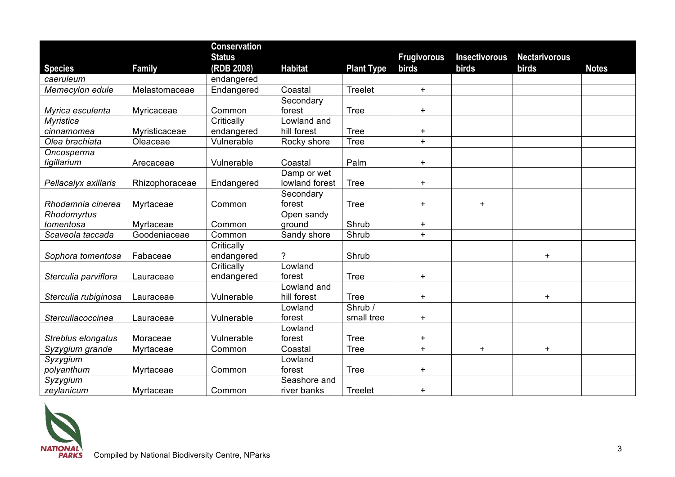|                          |                | <b>Conservation</b> |                |                   |                    |                      |                      |              |
|--------------------------|----------------|---------------------|----------------|-------------------|--------------------|----------------------|----------------------|--------------|
|                          |                | <b>Status</b>       |                |                   | <b>Frugivorous</b> | <b>Insectivorous</b> | <b>Nectarivorous</b> |              |
| <b>Species</b>           | Family         | (RDB 2008)          | <b>Habitat</b> | <b>Plant Type</b> | birds              | birds                | <b>birds</b>         | <b>Notes</b> |
| caeruleum                |                | endangered          |                |                   |                    |                      |                      |              |
| Memecylon edule          | Melastomaceae  | Endangered          | Coastal        | <b>Treelet</b>    | $+$                |                      |                      |              |
|                          |                |                     | Secondary      |                   |                    |                      |                      |              |
| Myrica esculenta         | Myricaceae     | Common              | forest         | <b>Tree</b>       | $\ddot{}$          |                      |                      |              |
| <b>Myristica</b>         |                | Critically          | Lowland and    |                   |                    |                      |                      |              |
| cinnamomea               | Myristicaceae  | endangered          | hill forest    | <b>Tree</b>       | $\ddagger$         |                      |                      |              |
| Olea brachiata           | Oleaceae       | Vulnerable          | Rocky shore    | <b>Tree</b>       | $+$                |                      |                      |              |
| Oncosperma               |                |                     |                |                   |                    |                      |                      |              |
| tigillarium              | Arecaceae      | Vulnerable          | Coastal        | Palm              | $\pm$              |                      |                      |              |
|                          |                |                     | Damp or wet    |                   |                    |                      |                      |              |
| Pellacalyx axillaris     | Rhizophoraceae | Endangered          | lowland forest | <b>Tree</b>       | $\pm$              |                      |                      |              |
|                          |                |                     | Secondary      |                   |                    |                      |                      |              |
| Rhodamnia cinerea        | Myrtaceae      | Common              | forest         | <b>Tree</b>       | $+$                | $+$                  |                      |              |
| Rhodomyrtus              |                |                     | Open sandy     |                   |                    |                      |                      |              |
| tomentosa                | Myrtaceae      | Common              | ground         | Shrub             | $\ddot{}$          |                      |                      |              |
| Scaveola taccada         | Goodeniaceae   | Common              | Sandy shore    | Shrub             | $+$                |                      |                      |              |
|                          |                | Critically          |                |                   |                    |                      |                      |              |
| Sophora tomentosa        | Fabaceae       | endangered          | ?              | Shrub             |                    |                      | $\ddagger$           |              |
|                          |                | Critically          | Lowland        |                   |                    |                      |                      |              |
| Sterculia parviflora     | Lauraceae      | endangered          | forest         | <b>Tree</b>       | $+$                |                      |                      |              |
|                          |                |                     | Lowland and    |                   |                    |                      |                      |              |
| Sterculia rubiginosa     | Lauraceae      | Vulnerable          | hill forest    | <b>Tree</b>       | $\pm$              |                      | $\ddot{}$            |              |
|                          |                |                     | Lowland        | Shrub /           |                    |                      |                      |              |
| <b>Sterculiacoccinea</b> | Lauraceae      | Vulnerable          | forest         | small tree        | $+$                |                      |                      |              |
|                          |                |                     | Lowland        |                   |                    |                      |                      |              |
| Streblus elongatus       | Moraceae       | Vulnerable          | forest         | <b>Tree</b>       | $\ddagger$         |                      |                      |              |
| Syzygium grande          | Myrtaceae      | Common              | Coastal        | <b>Tree</b>       | $+$                | $+$                  | $\ddot{}$            |              |
| Syzygium                 |                |                     | Lowland        |                   |                    |                      |                      |              |
| polyanthum               | Myrtaceae      | Common              | forest         | <b>Tree</b>       | $\pm$              |                      |                      |              |
| Syzygium                 |                |                     | Seashore and   |                   |                    |                      |                      |              |
| zeylanicum               | Myrtaceae      | Common              | river banks    | Treelet           | $\pm$              |                      |                      |              |